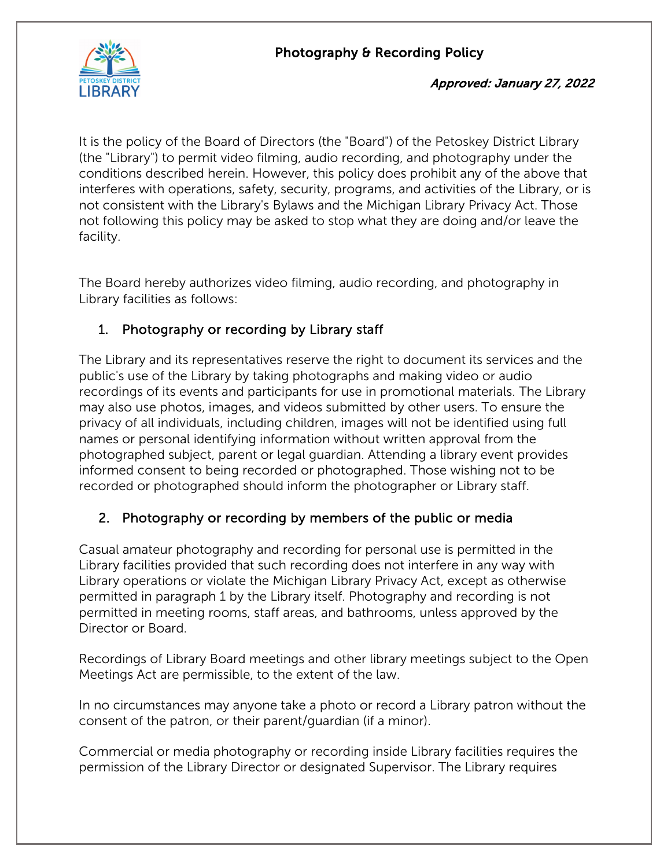

#### Approved: January 27, 2022

It is the policy of the Board of Directors (the "Board") of the Petoskey District Library (the "Library") to permit video filming, audio recording, and photography under the conditions described herein. However, this policy does prohibit any of the above that interferes with operations, safety, security, programs, and activities of the Library, or is not consistent with the Library's Bylaws and the Michigan Library Privacy Act. Those not following this policy may be asked to stop what they are doing and/or leave the facility.

The Board hereby authorizes video filming, audio recording, and photography in Library facilities as follows:

# 1. Photography or recording by Library staff

The Library and its representatives reserve the right to document its services and the public's use of the Library by taking photographs and making video or audio recordings of its events and participants for use in promotional materials. The Library may also use photos, images, and videos submitted by other users. To ensure the privacy of all individuals, including children, images will not be identified using full names or personal identifying information without written approval from the photographed subject, parent or legal guardian. Attending a library event provides informed consent to being recorded or photographed. Those wishing not to be recorded or photographed should inform the photographer or Library staff.

## 2. Photography or recording by members of the public or media

Casual amateur photography and recording for personal use is permitted in the Library facilities provided that such recording does not interfere in any way with Library operations or violate the Michigan Library Privacy Act, except as otherwise permitted in paragraph 1 by the Library itself. Photography and recording is not permitted in meeting rooms, staff areas, and bathrooms, unless approved by the Director or Board.

Recordings of Library Board meetings and other library meetings subject to the Open Meetings Act are permissible, to the extent of the law.

In no circumstances may anyone take a photo or record a Library patron without the consent of the patron, or their parent/guardian (if a minor).

Commercial or media photography or recording inside Library facilities requires the permission of the Library Director or designated Supervisor. The Library requires